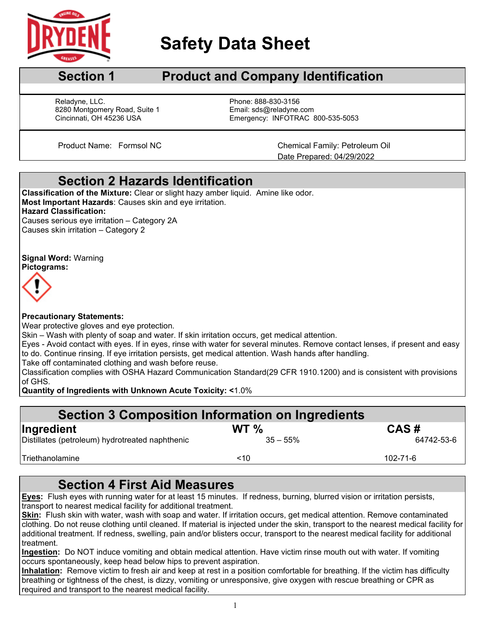

l

# **Safety Data Sheet**

## **Section 1** Product and Company Identification

Reladyne, LLC. **Phone: 888-830-3156** 8280 Montgomery Road, Suite 1 Email: sds@reladyne.com<br>Cincinnati, OH 45236 USA Emergency: INFOTRAC 8

Emergency: INFOTRAC 800-535-5053

Product Name: Formsol NC Chemical Family: Petroleum Oil Date Prepared: 04/29/2022

### **Section 2 Hazards Identification**

**Classification of the Mixture:** Clear or slight hazy amber liquid. Amine like odor. **Most Important Hazards**: Causes skin and eye irritation. **Hazard Classification:** Causes serious eye irritation – Category 2A Causes skin irritation – Category 2

#### **Signal Word:** Warning **Pictograms:**



#### **Precautionary Statements:**

Wear protective gloves and eye protection.

Skin – Wash with plenty of soap and water. If skin irritation occurs, get medical attention.

Eyes - Avoid contact with eyes. If in eyes, rinse with water for several minutes. Remove contact lenses, if present and easy to do. Continue rinsing. If eye irritation persists, get medical attention. Wash hands after handling.

Take off contaminated clothing and wash before reuse.

Classification complies with OSHA Hazard Communication Standard(29 CFR 1910.1200) and is consistent with provisions of GHS.

**Quantity of Ingredients with Unknown Acute Toxicity: <**1.0%

| <b>Section 3 Composition Information on Ingredients</b> |                 |            |  |  |  |  |
|---------------------------------------------------------|-----------------|------------|--|--|--|--|
| Ingredient                                              | WT <sub>%</sub> | CAS#       |  |  |  |  |
| Distillates (petroleum) hydrotreated naphthenic         | $35 - 55\%$     | 64742-53-6 |  |  |  |  |
| Triethanolamine                                         | ~10             | 102-71-6   |  |  |  |  |

## **Section 4 First Aid Measures**

**Eyes:** Flush eyes with running water for at least 15 minutes. If redness, burning, blurred vision or irritation persists, transport to nearest medical facility for additional treatment.

**Skin:** Flush skin with water, wash with soap and water. If irritation occurs, get medical attention. Remove contaminated clothing. Do not reuse clothing until cleaned. If material is injected under the skin, transport to the nearest medical facility for additional treatment. If redness, swelling, pain and/or blisters occur, transport to the nearest medical facility for additional treatment.

**Ingestion:** Do NOT induce vomiting and obtain medical attention. Have victim rinse mouth out with water. If vomiting occurs spontaneously, keep head below hips to prevent aspiration.

**Inhalation:** Remove victim to fresh air and keep at rest in a position comfortable for breathing. If the victim has difficulty breathing or tightness of the chest, is dizzy, vomiting or unresponsive, give oxygen with rescue breathing or CPR as required and transport to the nearest medical facility.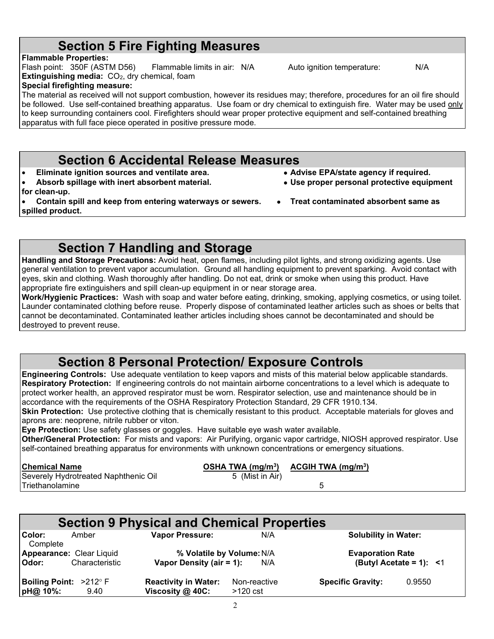#### $\mathfrak{D}$

## **Section 5 Fire Fighting Measures**

**Flammable Properties:** 

Flash point: 350F (ASTM D56) Flammable limits in air: N/A Auto ignition temperature: N/A **Extinguishing media:** CO<sub>2</sub>, dry chemical, foam

#### **Special firefighting measure:**

The material as received will not support combustion, however its residues may; therefore, procedures for an oil fire should be followed. Use self-contained breathing apparatus. Use foam or dry chemical to extinguish fire. Water may be used only to keep surrounding containers cool. Firefighters should wear proper protective equipment and self-contained breathing apparatus with full face piece operated in positive pressure mode.

#### **Section 6 Accidental Release Measures**

- **Eliminate ignition sources and ventilate area. Advise EPA/state agency if required.**
- Absorb spillage with inert absorbent material. **for clean-up.**
- **Contain spill and keep from entering waterways or sewers. Treat contaminated absorbent same as spilled product.**
	- **Section 7 Handling and Storage**

**Handling and Storage Precautions:** Avoid heat, open flames, including pilot lights, and strong oxidizing agents. Use general ventilation to prevent vapor accumulation. Ground all handling equipment to prevent sparking. Avoid contact with eyes, skin and clothing. Wash thoroughly after handling. Do not eat, drink or smoke when using this product. Have appropriate fire extinguishers and spill clean-up equipment in or near storage area.

**Work/Hygienic Practices:** Wash with soap and water before eating, drinking, smoking, applying cosmetics, or using toilet. Launder contaminated clothing before reuse. Properly dispose of contaminated leather articles such as shoes or belts that cannot be decontaminated. Contaminated leather articles including shoes cannot be decontaminated and should be destroyed to prevent reuse.

## **Section 8 Personal Protection/ Exposure Controls**

**Engineering Controls:** Use adequate ventilation to keep vapors and mists of this material below applicable standards. **Respiratory Protection:** If engineering controls do not maintain airborne concentrations to a level which is adequate to protect worker health, an approved respirator must be worn. Respirator selection, use and maintenance should be in accordance with the requirements of the OSHA Respiratory Protection Standard, 29 CFR 1910.134.

**Skin Protection:** Use protective clothing that is chemically resistant to this product. Acceptable materials for gloves and aprons are: neoprene, nitrile rubber or viton.

**Eye Protection:** Use safety glasses or goggles. Have suitable eye wash water available.

**Other/General Protection:** For mists and vapors: Air Purifying, organic vapor cartridge, NIOSH approved respirator. Use self-contained breathing apparatus for environments with unknown concentrations or emergency situations.

| Chemical Name                        |                 | OSHA TWA $(mg/m3)$ ACGIH TWA $(mg/m3)$ |  |
|--------------------------------------|-----------------|----------------------------------------|--|
| Severely Hydrotreated Naphthenic Oil | 5 (Mist in Air) |                                        |  |
| ITriethanolamine                     |                 |                                        |  |
|                                      |                 |                                        |  |

| <b>Section 9 Physical and Chemical Properties</b> |                                            |                                                       |                            |                             |                               |
|---------------------------------------------------|--------------------------------------------|-------------------------------------------------------|----------------------------|-----------------------------|-------------------------------|
| Color:<br>Complete                                | Amber                                      | <b>Vapor Pressure:</b>                                | N/A                        | <b>Solubility in Water:</b> |                               |
| Odor:                                             | Appearance: Clear Liquid<br>Characteristic | % Volatile by Volume: N/A<br>Vapor Density (air = 1): | N/A                        | <b>Evaporation Rate</b>     | (Butyl Acetate = 1): $\leq 1$ |
| Boiling Point: >212° F<br>pH@ 10%:                | 9.40                                       | <b>Reactivity in Water:</b><br>Viscosity @ 40C:       | Non-reactive<br>$>120$ cst | <b>Specific Gravity:</b>    | 0.9550                        |

- 
- 
-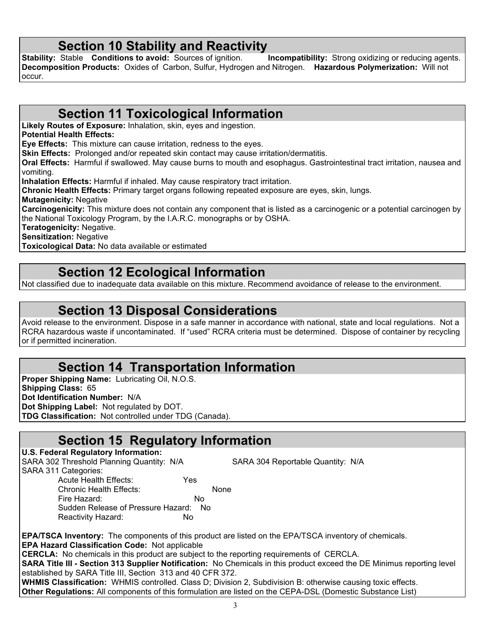**Section 10 Stability and Reactivity**<br>Stable Conditions to avoid: Sources of ignition. Incompatibility: Strong oxidizing or reducing agents. **Stability: Stable <b>Conditions to avoid:** Sources of ignition. **Decomposition Products:** Oxides of Carbon, Sulfur, Hydrogen and Nitrogen. **Hazardous Polymerization:** Will not occur.

### **Section 11 Toxicological Information**

**Likely Routes of Exposure:** Inhalation, skin, eyes and ingestion.

**Potential Health Effects:**

**Eye Effects:** This mixture can cause irritation, redness to the eyes.

**Skin Effects:** Prolonged and/or repeated skin contact may cause irritation/dermatitis.

**Oral Effects:** Harmful if swallowed. May cause burns to mouth and esophagus. Gastrointestinal tract irritation, nausea and vomiting.

**Inhalation Effects:** Harmful if inhaled. May cause respiratory tract irritation.

**Chronic Health Effects:** Primary target organs following repeated exposure are eyes, skin, lungs. **Mutagenicity:** Negative

**Carcinogenicity:** This mixture does not contain any component that is listed as a carcinogenic or a potential carcinogen by the National Toxicology Program, by the I.A.R.C. monographs or by OSHA.

**Teratogenicity:** Negative.

**Sensitization:** Negative

**Toxicological Data:** No data available or estimated

#### **Section 12 Ecological Information**

Not classified due to inadequate data available on this mixture. Recommend avoidance of release to the environment.

### **Section 13 Disposal Considerations**

Avoid release to the environment. Dispose in a safe manner in accordance with national, state and local regulations. Not a RCRA hazardous waste if uncontaminated. If "used" RCRA criteria must be determined. Dispose of container by recycling or if permitted incineration.

## **Section 14 Transportation Information**

**Proper Shipping Name:** Lubricating Oil, N.O.S. **Shipping Class:** 65 **Dot Identification Number:** N/A **Dot Shipping Label:** Not regulated by DOT. **TDG Classification:** Not controlled under TDG (Canada).

Reactivity Hazard: No

### **Section 15 Regulatory Information**

**U.S. Federal Regulatory Information:** SARA 302 Threshold Planning Quantity: N/A SARA 304 Reportable Quantity: N/A SARA 311 Categories: Acute Health Effects: Yes Chronic Health Effects: None Fire Hazard: No Sudden Release of Pressure Hazard: No

**EPA/TSCA Inventory:** The components of this product are listed on the EPA/TSCA inventory of chemicals. **EPA Hazard Classification Code:** Not applicable

**CERCLA:** No chemicals in this product are subject to the reporting requirements of CERCLA.

**SARA Title III - Section 313 Supplier Notification:** No Chemicals in this product exceed the DE Minimus reporting level established by SARA Title III, Section 313 and 40 CFR 372.

**WHMIS Classification:** WHMIS controlled. Class D; Division 2, Subdivision B: otherwise causing toxic effects. **Other Regulations:** All components of this formulation are listed on the CEPA-DSL (Domestic Substance List)